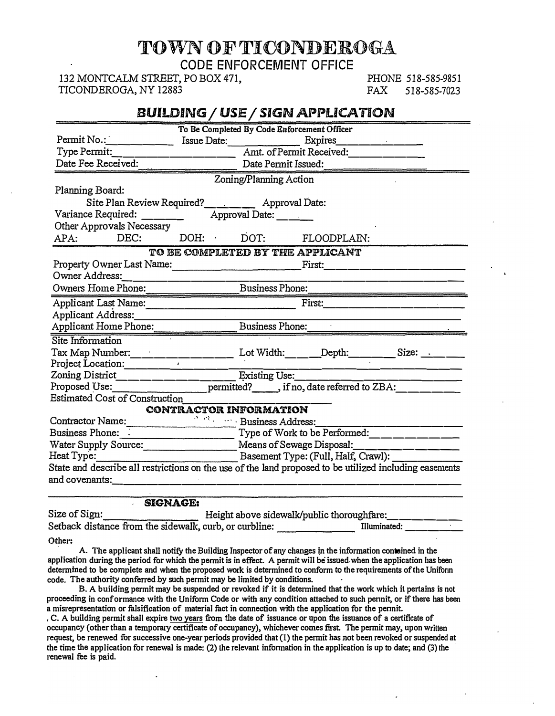# TOWN OF TICONDEROGA

CODE ENFORCEMENT OFFICE

132 MONTCALM STREET, PO BOX 471, TICONDEROGA, NY 12883

PHONE 518-585-9851<br>FAX 518-585-7023 518-585-7023

# **BUILDING/ USE/ SIGN APPLICATION**

|                                                                                                                                                                                                                                |                                                     |                                                                            | To Be Completed By Code Enforcement Officer                                                                                                                                                                                    |  |  |
|--------------------------------------------------------------------------------------------------------------------------------------------------------------------------------------------------------------------------------|-----------------------------------------------------|----------------------------------------------------------------------------|--------------------------------------------------------------------------------------------------------------------------------------------------------------------------------------------------------------------------------|--|--|
|                                                                                                                                                                                                                                |                                                     |                                                                            |                                                                                                                                                                                                                                |  |  |
| Type Permit:                                                                                                                                                                                                                   |                                                     | Amt. of Permit Received:                                                   |                                                                                                                                                                                                                                |  |  |
| Date Fee Received:                                                                                                                                                                                                             |                                                     | Date Permit Issued:                                                        |                                                                                                                                                                                                                                |  |  |
|                                                                                                                                                                                                                                |                                                     | Zoning/Planning Action                                                     |                                                                                                                                                                                                                                |  |  |
| Planning Board:                                                                                                                                                                                                                |                                                     |                                                                            |                                                                                                                                                                                                                                |  |  |
| Site Plan Review Required? ___________ Approval Date:                                                                                                                                                                          |                                                     |                                                                            |                                                                                                                                                                                                                                |  |  |
| Variance Required: _______ Approval Date: _____                                                                                                                                                                                |                                                     |                                                                            |                                                                                                                                                                                                                                |  |  |
| Other Approvals Necessary                                                                                                                                                                                                      |                                                     |                                                                            |                                                                                                                                                                                                                                |  |  |
| APA: DEC:                                                                                                                                                                                                                      |                                                     |                                                                            | DOH: DOT: FLOODPLAIN:                                                                                                                                                                                                          |  |  |
|                                                                                                                                                                                                                                | TO BE COMPLETED BY THE APPLICANT                    |                                                                            |                                                                                                                                                                                                                                |  |  |
|                                                                                                                                                                                                                                |                                                     |                                                                            |                                                                                                                                                                                                                                |  |  |
| Owner Address:                                                                                                                                                                                                                 |                                                     |                                                                            |                                                                                                                                                                                                                                |  |  |
| Owners Home Phone: Business Phone:                                                                                                                                                                                             |                                                     |                                                                            |                                                                                                                                                                                                                                |  |  |
| Applicant Last Name:                                                                                                                                                                                                           |                                                     |                                                                            | First: The Communication of the Communication of the Communication of the Communication of the Communication of the Communication of the Communication of the Communication of the Communication of the Communication of the C |  |  |
|                                                                                                                                                                                                                                |                                                     |                                                                            |                                                                                                                                                                                                                                |  |  |
| Applicant Home Phone:                                                                                                                                                                                                          | Business Phone:                                     |                                                                            |                                                                                                                                                                                                                                |  |  |
| Site Information                                                                                                                                                                                                               |                                                     |                                                                            |                                                                                                                                                                                                                                |  |  |
| Tax Map Number:_________________________ Lot Width:_______Depth:__________Size: _______                                                                                                                                        |                                                     |                                                                            |                                                                                                                                                                                                                                |  |  |
| Project Location:                                                                                                                                                                                                              |                                                     |                                                                            |                                                                                                                                                                                                                                |  |  |
| Zoning District_____________                                                                                                                                                                                                   |                                                     | Existing Use:                                                              |                                                                                                                                                                                                                                |  |  |
| Proposed Use:                                                                                                                                                                                                                  |                                                     |                                                                            | __________ permitted?_______, if no, date referred to ZBA:________                                                                                                                                                             |  |  |
| <b>Estimated Cost of Construction</b>                                                                                                                                                                                          |                                                     |                                                                            |                                                                                                                                                                                                                                |  |  |
|                                                                                                                                                                                                                                | CONTRACTOR INFORMATION                              |                                                                            |                                                                                                                                                                                                                                |  |  |
|                                                                                                                                                                                                                                | Contractor Name: Same State State Business Address: |                                                                            |                                                                                                                                                                                                                                |  |  |
|                                                                                                                                                                                                                                |                                                     | Business Phone: <u>New York to be Performed: New York to be Performed:</u> |                                                                                                                                                                                                                                |  |  |
|                                                                                                                                                                                                                                | Water Supply Source: Means of Sewage Disposal:      |                                                                            |                                                                                                                                                                                                                                |  |  |
|                                                                                                                                                                                                                                |                                                     |                                                                            |                                                                                                                                                                                                                                |  |  |
| State and describe all restrictions on the use of the land proposed to be utilized including easements                                                                                                                         |                                                     |                                                                            |                                                                                                                                                                                                                                |  |  |
| and covenants: which is a set of the set of the set of the set of the set of the set of the set of the set of the set of the set of the set of the set of the set of the set of the set of the set of the set of the set of th |                                                     |                                                                            |                                                                                                                                                                                                                                |  |  |
|                                                                                                                                                                                                                                |                                                     |                                                                            |                                                                                                                                                                                                                                |  |  |

**SIGNAGE:** 

| Size of Sign:                                          | Height above sidewalk/public thoroughfare: |              |
|--------------------------------------------------------|--------------------------------------------|--------------|
| Setback distance from the sidewalk, curb, or curbline: |                                            | Illuminated: |

**Other:** 

A. The applicant shall notify the Building Inspector of any changes in the information contained in the **application during the period for which the permit is in effect. A permit will be issued. when the application bas been determined to be complete and when the proposed work is determined to conform to the requirements of the Unifonn code. The authority conferred .by such permit may be limited by conditions.** 

**B. A building permit may be suspended or revoked if it is determined that the work which it pertains is not proceeding in conformance with the Uniform Code or with any condition attached to such pennit, or if there has been a misrepresentation or falsification of material fact in connection ·with the application for the pennit.** 

**, C. A building permit shall expire two years from the date of issuance or upon the issuance of a certificate of occupancy (other than a temporary certificate of occupancy), whichever comes first. The pennit may, upon written request, be renewed for successive one-year periods provided that (1) the permit has not been revoked or suspended at the time the application for renewal is made: (2) the relevant infonnation in the application is up to date; and (3) the renewal fee is paid.**